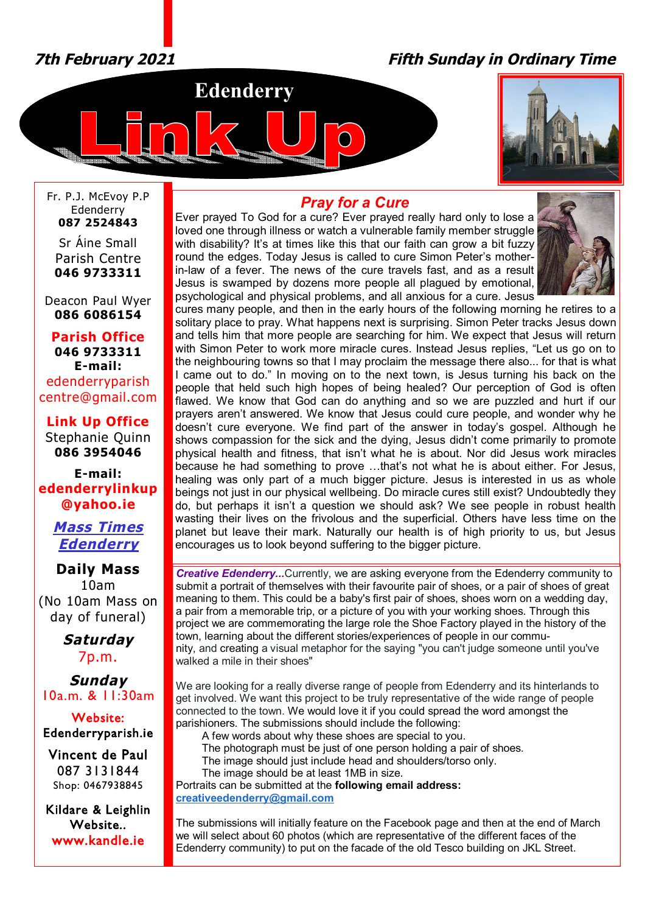# *7th February 2021 Fifth Sunday in Ordinary Time*





Fr. P.J. McEvoy P.P Edenderry **087 2524843**

Sr Áine Small Parish Centre **046 9733311**

Deacon Paul Wyer **086 6086154**

**Parish Office 046 9733311 E-mail:** edenderryparish [centre@gmail.com](mailto:centre@gmail.com)

**Link Up Office** Stephanie Quinn **086 3954046**

**E-mail: edenderrylinkup [@yahoo.ie](mailto:@yahoo.ie)**

> *Mass Times Edenderry*

**Daily Mass** 10am (No 10am Mass on day of funeral)

> *Saturday* 7p.m.

*Sunday* 10a.m. & 11:30am

**Website: Edenderryparish.ie**

**Vincent de Paul**  087 3131844 Shop: 0467938845

**Kildare & Leighlin Website.. [www.kandle.ie](http://www.kandle.ie)** 

## *Pray for a Cure*

Ever prayed To God for a cure? Ever prayed really hard only to lose a loved one through illness or watch a vulnerable family member struggle with disability? It's at times like this that our faith can grow a bit fuzzy round the edges. Today Jesus is called to cure Simon Peter's motherin-law of a fever. The news of the cure travels fast, and as a result Jesus is swamped by dozens more people all plagued by emotional, psychological and physical problems, and all anxious for a cure. Jesus



cures many people, and then in the early hours of the following morning he retires to a solitary place to pray. What happens next is surprising. Simon Peter tracks Jesus down and tells him that more people are searching for him. We expect that Jesus will return with Simon Peter to work more miracle cures. Instead Jesus replies, "Let us go on to the neighbouring towns so that I may proclaim the message there also... for that is what I came out to do." In moving on to the next town, is Jesus turning his back on the people that held such high hopes of being healed? Our perception of God is often flawed. We know that God can do anything and so we are puzzled and hurt if our prayers aren't answered. We know that Jesus could cure people, and wonder why he doesn't cure everyone. We find part of the answer in today's gospel. Although he shows compassion for the sick and the dying, Jesus didn't come primarily to promote physical health and fitness, that isn't what he is about. Nor did Jesus work miracles because he had something to prove …that's not what he is about either. For Jesus, healing was only part of a much bigger picture. Jesus is interested in us as whole beings not just in our physical wellbeing. Do miracle cures still exist? Undoubtedly they do, but perhaps it isn't a question we should ask? We see people in robust health wasting their lives on the frivolous and the superficial. Others have less time on the planet but leave their mark. Naturally our health is of high priority to us, but Jesus encourages us to look beyond suffering to the bigger picture.

*Creative Edenderry...*Currently, we are asking everyone from the Edenderry community to submit a portrait of themselves with their favourite pair of shoes, or a pair of shoes of great meaning to them. This could be a baby's first pair of shoes, shoes worn on a wedding day, a pair from a memorable trip, or a picture of you with your working shoes. Through this project we are commemorating the large role the Shoe Factory played in the history of the town, learning about the different stories/experiences of people in our community, and creating a visual metaphor for the saying "you can't judge someone until you've walked a mile in their shoes"

We are looking for a really diverse range of people from Edenderry and its hinterlands to get involved. We want this project to be truly representative of the wide range of people connected to the town. We would love it if you could spread the word amongst the parishioners. The submissions should include the following:

A few words about why these shoes are special to you.

The photograph must be just of one person holding a pair of shoes.

The image should just include head and shoulders/torso only.

The image should be at least 1MB in size.

Portraits can be submitted at the **following email address: [creativeedenderry@gmail.com](mailto:creativeedenderry@gmail.com)**

The submissions will initially feature on the Facebook page and then at the end of March we will select about 60 photos (which are representative of the different faces of the Edenderry community) to put on the facade of the old Tesco building on JKL Street.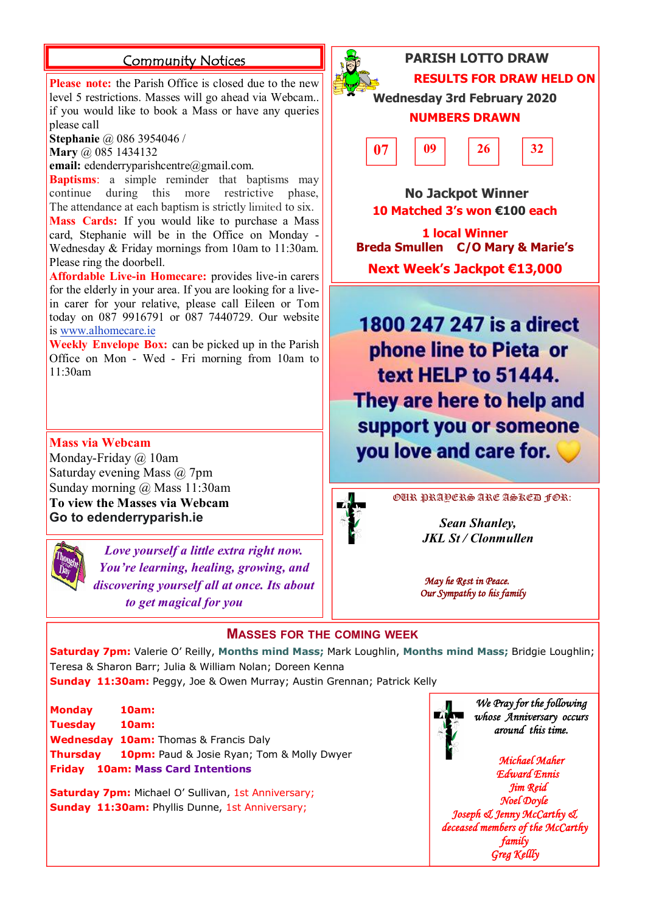**Please note:** the Parish Office is closed due to the new level 5 restrictions. Masses will go ahead via Webcam.. if you would like to book a Mass or have any queries please call

**Stephanie** @ 086 3954046 /

**Mary** @ 085 1434132

**email:** [edenderryparishcentre@gmail.com.](mailto:edenderryparishcentre@gmail.com.)

**Baptisms**: a simple reminder that baptisms may continue during this more restrictive phase, The attendance at each baptism is strictly limited to six. **Mass Cards:** If you would like to purchase a Mass card, Stephanie will be in the Office on Monday -

Wednesday & Friday mornings from 10am to 11:30am. Please ring the doorbell. **Affordable Live-in Homecare:** provides live-in carers for the elderly in your area. If you are looking for a live-

in carer for your relative, please call Eileen or Tom today on 087 9916791 or 087 7440729. Our website is [www.alhomecare.ie](http://www.alhomecare.ie)

**Weekly Envelope Box:** can be picked up in the Parish Office on Mon - Wed - Fri morning from 10am to 11:30am

**Mass via Webcam** Monday-Friday @ 10am Saturday evening Mass @ 7pm Sunday morning @ Mass 11:30am **To view the Masses via Webcam Go to edenderryparish.ie**



*Love yourself a little extra right now. You're learning, healing, growing, and discovering yourself all at once. Its about to get magical for you*



**Community Notices PARISH LOTTO DRAW RESULTS FOR DRAW HELD ON** 

> **Wednesday 3rd February 2020 NUMBERS DRAWN**



 **No Jackpot Winner 10 Matched 3's won €100 each**

**1 local Winner Breda Smullen C/O Mary & Marie's Next Week's Jackpot €13,000**

1800 247 247 is a direct phone line to Pieta or text HELP to 51444. They are here to help and support you or someone you love and care for.



OUR PRAYERS ARE ASKED FOR:

*Sean Shanley, JKL St / Clonmullen*

 *May he Rest in Peace. Our Sympathy to his family* 

### **MASSES FOR THE COMING WEEK**

**Saturday 7pm:** Valerie O' Reilly, **Months mind Mass;** Mark Loughlin, **Months mind Mass;** Bridgie Loughlin; Teresa & Sharon Barr; Julia & William Nolan; Doreen Kenna

**Sunday 11:30am:** Peggy, Joe & Owen Murray; Austin Grennan; Patrick Kelly

| <b>Monday</b>                            | <b>10am:</b>                                               |
|------------------------------------------|------------------------------------------------------------|
| Tuesday                                  | 10am:                                                      |
|                                          | <b>Wednesday 10am:</b> Thomas & Francis Daly               |
|                                          | <b>Thursday</b> 10pm: Paud & Josie Ryan; Tom & Molly Dwyer |
| <b>Friday</b> 10am: Mass Card Intentions |                                                            |

**Saturday 7pm:** Michael O' Sullivan, 1st Anniversary; **Sunday 11:30am: Phyllis Dunne, 1st Anniversary;** 



*We Pray for the following whose Anniversary occurs around this time.* 

*Michael Maher Edward Ennis Jim Reid Noel Doyle Joseph & Jenny McCarthy & deceased members of the McCarthy family Greg Kellly*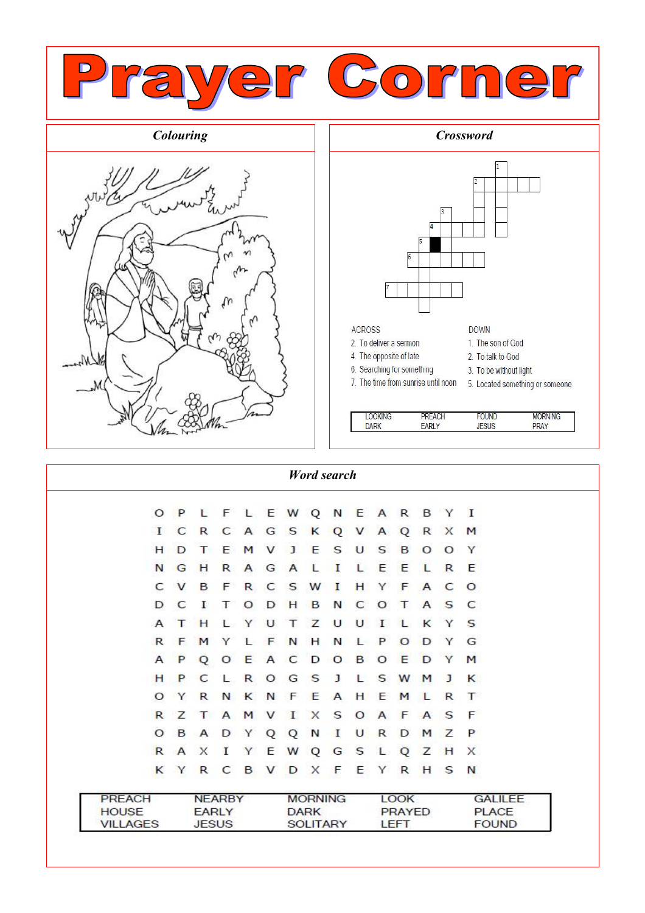